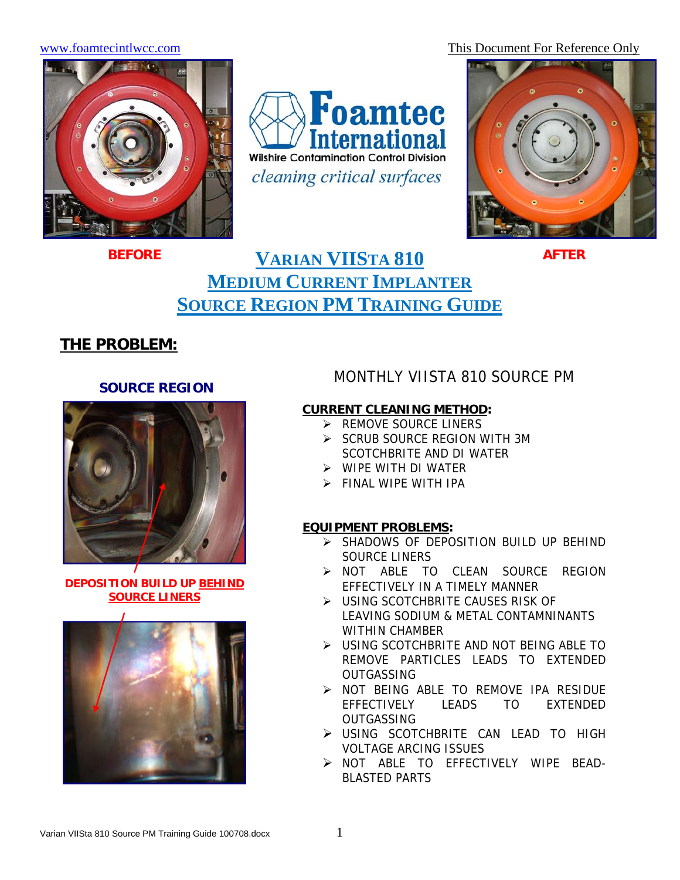www.foamtecintlwcc.com This Document For Reference Only



Foamtec **International Wilshire Contamination Control Division** *cleaning critical surfaces* 



# **VARIAN VIISTA 810 AFTER MEDIUM CURRENT IMPLANTER SOURCE REGION PM TRAINING GUIDE**

## **THE PROBLEM:**

#### **SOURCE REGION**



**DEPOSITION BUILD UP BEHIND SOURCE LINERS**



## MONTHLY VIISTA 810 SOURCE PM

### **CURRENT CLEANING METHOD:**

- $\triangleright$  REMOVE SOURCE LINERS
- ¾ SCRUB SOURCE REGION WITH 3M SCOTCHBRITE AND DI WATER
- $\triangleright$  WIPE WITH DI WATER
- $\triangleright$  FINAL WIPE WITH IPA

### **EQUIPMENT PROBLEMS:**

- ¾ SHADOWS OF DEPOSITION BUILD UP BEHIND SOURCE LINERS
- ¾ NOT ABLE TO CLEAN SOURCE REGION EFFECTIVELY IN A TIMELY MANNER
- ¾ USING SCOTCHBRITE CAUSES RISK OF LEAVING SODIUM & METAL CONTAMNINANTS WITHIN CHAMBER
- ¾ USING SCOTCHBRITE AND NOT BEING ABLE TO REMOVE PARTICLES LEADS TO EXTENDED **OUTGASSING**
- ¾ NOT BEING ABLE TO REMOVE IPA RESIDUE EFFECTIVELY LEADS TO EXTENDED **OUTGASSING**
- ¾ USING SCOTCHBRITE CAN LEAD TO HIGH VOLTAGE ARCING ISSUES
- ¾ NOT ABLE TO EFFECTIVELY WIPE BEAD-BLASTED PARTS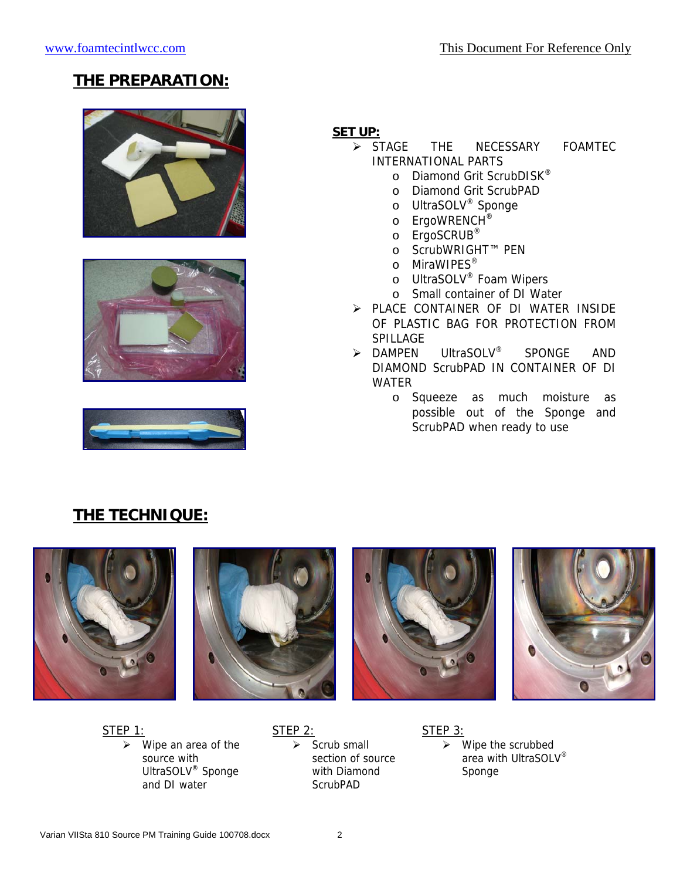## **THE PREPARATION:**







### **SET UP:**

- ¾ STAGE THE NECESSARY FOAMTEC INTERNATIONAL PARTS
	- o Diamond Grit ScrubDISK<sup>®</sup>
	- o Diamond Grit ScrubPAD
	- o UltraSOLV® Sponge
	- o ErgoWRENCH<sup>®</sup>
	- o ErgoSCRUB®
	- o ScrubWRIGHT™ PEN
	- o MiraWIPES<sup>®</sup>
	- o UltraSOLV® Foam Wipers
	- o Small container of DI Water
- ¾ PLACE CONTAINER OF DI WATER INSIDE OF PLASTIC BAG FOR PROTECTION FROM SPILLAGE
- ¾ DAMPEN UltraSOLV® SPONGE AND DIAMOND ScrubPAD IN CONTAINER OF DI WATER
	- o Squeeze as much moisture as possible out of the Sponge and ScrubPAD when ready to use

## **THE TECHNIQUE:**





 $\triangleright$  Wipe an area of the source with UltraSOLV® Sponge and DI water

STEP 2:

 $\triangleright$  Scrub small section of source with Diamond **ScrubPAD** 

STEP 3:  $\triangleright$  Wipe the scrubbed area with UltraSOLV® Sponge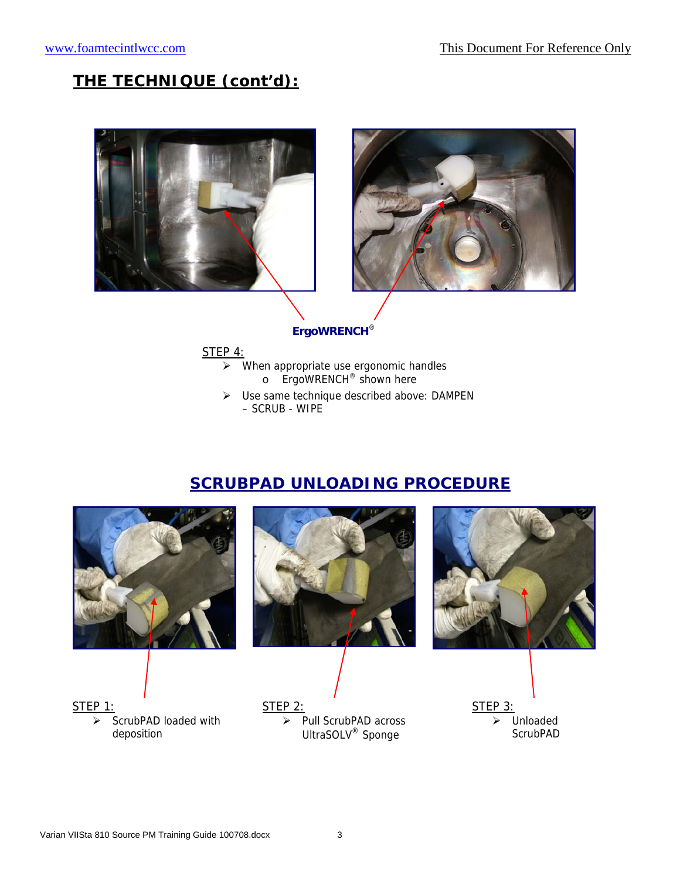## **THE TECHNIQUE (cont'd):**





#### **ErgoWRENCH**®

STEP 4:

- $\triangleright$  When appropriate use ergonomic handles o ErgoWRENCH® shown here
- ¾ Use same technique described above: DAMPEN – SCRUB - WIPE

## **SCRUBPAD UNLOADING PROCEDURE**

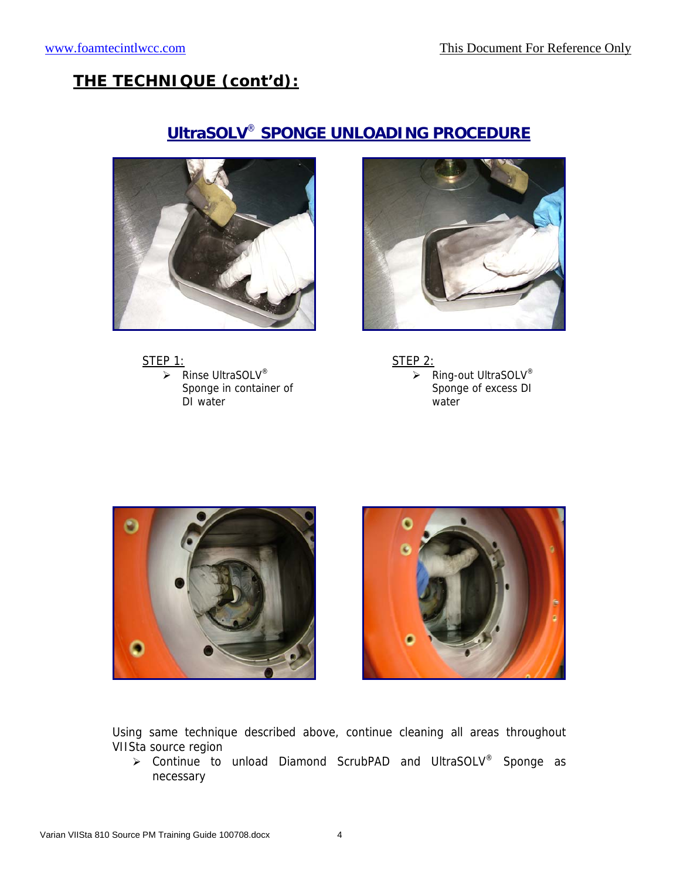## **THE TECHNIQUE (cont'd):**

# **UltraSOLV**® **SPONGE UNLOADING PROCEDURE**













Using same technique described above, continue cleaning all areas throughout VIISta source region

¾ Continue to unload Diamond ScrubPAD and UltraSOLV® Sponge as necessary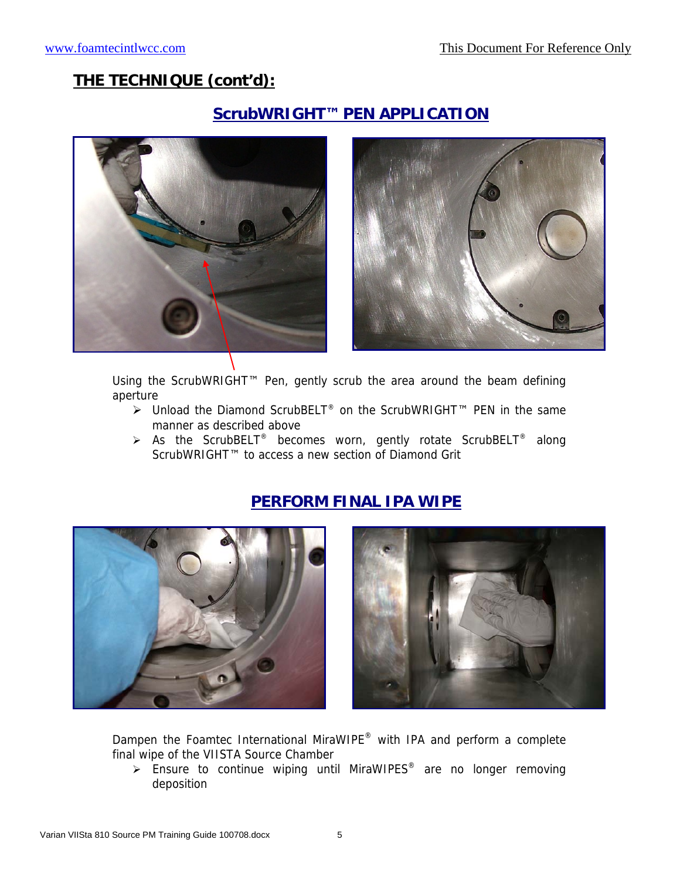## **THE TECHNIQUE (cont'd):**

## **ScrubWRIGHT™ PEN APPLICATION**





Using the ScrubWRIGHT™ Pen, gently scrub the area around the beam defining aperture

- ¾ Unload the Diamond ScrubBELT® on the ScrubWRIGHT™ PEN in the same manner as described above
- $\triangleright$  As the ScrubBELT<sup>®</sup> becomes worn, gently rotate ScrubBELT<sup>®</sup> along ScrubWRIGHT™ to access a new section of Diamond Grit







Dampen the Foamtec International MiraWIPE® with IPA and perform a complete final wipe of the VIISTA Source Chamber

 $\triangleright$  Ensure to continue wiping until MiraWIPES<sup>®</sup> are no longer removing deposition